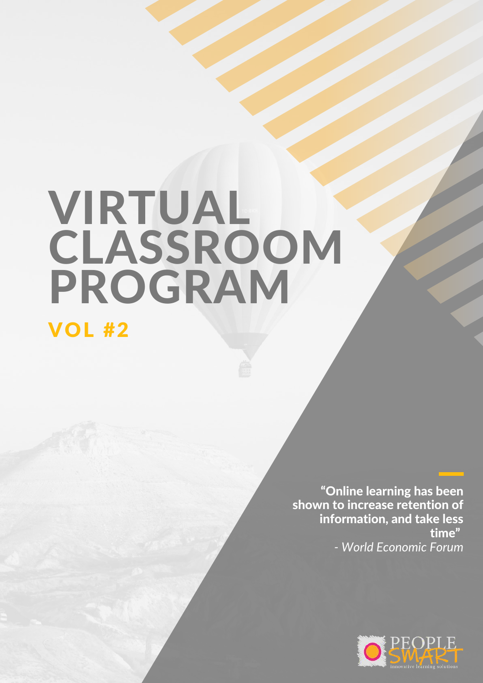# VIRTUAL **CLASSROOM** PROGRAM

VOL #2

"Online learning has been shown to increase retention of information, and take less time" *- World Economic Forum*

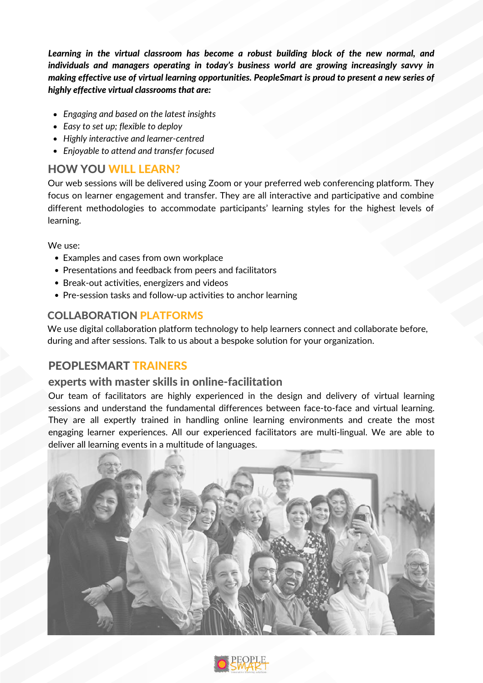*Learning in the virtual classroom has become a robust building block of the new normal, and individuals and managers operating in today's business world are growing increasingly savvy in making effective use of virtual learning opportunities. PeopleSmart is proud to present a new series of highly effective virtual classrooms that are:*

- *Engaging and based on the latest insights*
- *Easy to set up; flexible to deploy*
- *Highly interactive and learner-centred*
- *Enjoyable to attend and transfer focused*

## HOW YOU WILL LEARN?

Our web sessions will be delivered using Zoom or your preferred web conferencing platform. They focus on learner engagement and transfer. They are all interactive and participative and combine different methodologies to accommodate participants' learning styles for the highest levels of learning.

We use:

- Examples and cases from own workplace
- Presentations and feedback from peers and facilitators
- Break-out activities, energizers and videos
- Pre-session tasks and follow-up activities to anchor learning

## COLLABORATION PLATFORMS

We use digital collaboration platform technology to help learners connect and collaborate before, during and after sessions. Talk to us about a bespoke solution for your organization.

## PEOPLESMART TRAINERS

### experts with master skills in online-facilitation

Our team of facilitators are highly experienced in the design and delivery of virtual learning sessions and understand the fundamental differences between face-to-face and virtual learning. They are all expertly trained in handling online learning environments and create the most engaging learner experiences. All our experienced facilitators are multi-lingual. We are able to deliver all learning events in a multitude of languages.



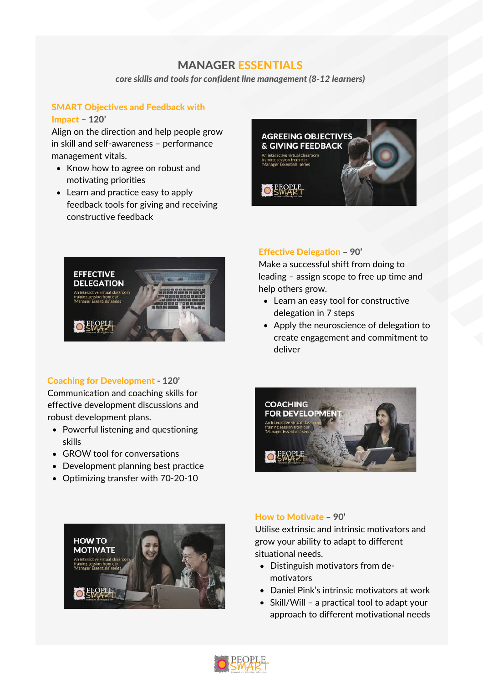## MANAGER ESSENTIALS

*core skills and tools for confident line management (8-12 learners)*

#### SMART Objectives and Feedback with

#### Impact – 120'

Align on the direction and help people grow in skill and self-awareness – performance management vitals.

- Know how to agree on robust and motivating priorities
- Learn and practice easy to apply feedback tools for giving and receiving constructive feedback





#### Coaching for Development - 120'

Communication and coaching skills for effective development discussions and robust development plans.

- Powerful listening and questioning skills
- GROW tool for conversations
- Development planning best practice
- Optimizing transfer with 70-20-10



#### Effective Delegation – 90'

Make a successful shift from doing to leading – assign scope to free up time and help others grow.

- Learn an easy tool for constructive delegation in 7 steps
- Apply the neuroscience of delegation to create engagement and commitment to deliver



#### How to Motivate – 90'

Utilise extrinsic and intrinsic motivators and grow your ability to adapt to different situational needs.

- Distinguish motivators from demotivators
- Daniel Pink's intrinsic motivators at work
- Skill/Will a practical tool to adapt your approach to different motivational needs

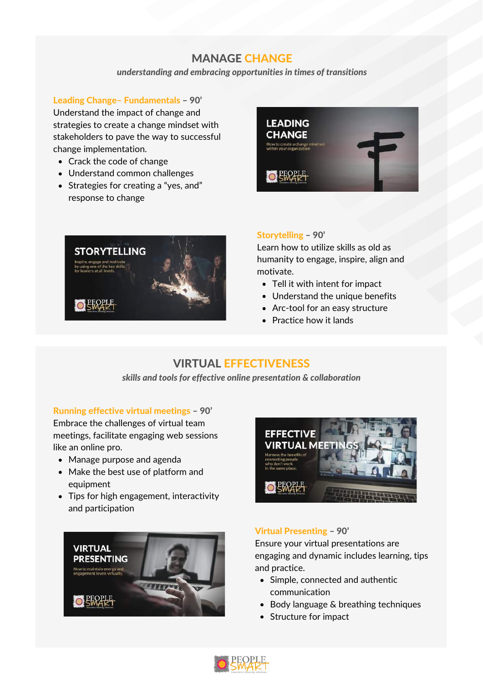## MANAGE CHANGE

*understanding and embracing opportunities in times of transitions*

Leading Change– Fundamentals – 90'

Understand the impact of change and strategies to create a change mindset with stakeholders to pave the way to successful change implementation.

- Crack the code of change
- Understand common challenges
- Strategies for creating a "yes, and" response to change





#### Storytelling – 90'

Learn how to utilize skills as old as humanity to engage, inspire, align and motivate.

- Tell it with intent for impact
- Understand the unique benefits
- Arc-tool for an easy structure
- Practice how it lands

## VIRTUAL EFFECTIVENESS

*skills and tools for effective online presentation & collaboration*

#### Running effective virtual meetings – 90'

Embrace the challenges of virtual team meetings, facilitate engaging web sessions like an online pro.

- Manage purpose and agenda
- Make the best use of platform and equipment
- Tips for high engagement, interactivity and participation





#### Virtual Presenting – 90'

Ensure your virtual presentations are engaging and dynamic includes learning, tips and practice.

- Simple, connected and authentic communication
- Body language & breathing techniques
- Structure for impact